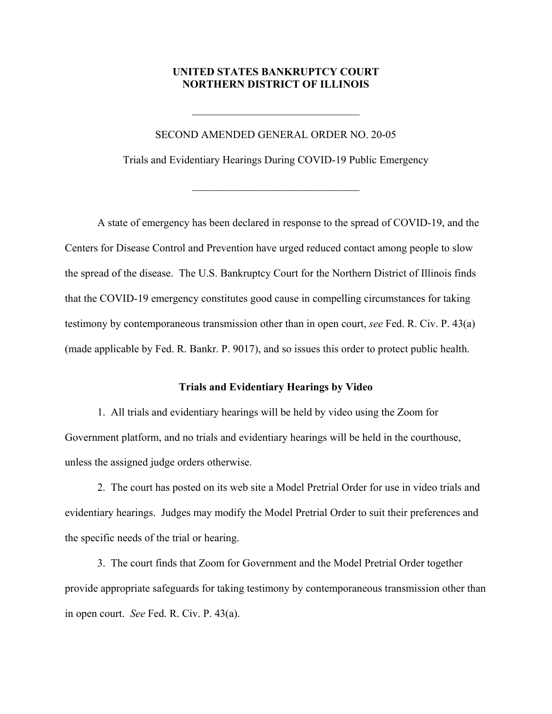# **UNITED STATES BANKRUPTCY COURT NORTHERN DISTRICT OF ILLINOIS**

### SECOND AMENDED GENERAL ORDER NO. 20-05

Trials and Evidentiary Hearings During COVID-19 Public Emergency

A state of emergency has been declared in response to the spread of COVID-19, and the Centers for Disease Control and Prevention have urged reduced contact among people to slow the spread of the disease. The U.S. Bankruptcy Court for the Northern District of Illinois finds that the COVID-19 emergency constitutes good cause in compelling circumstances for taking testimony by contemporaneous transmission other than in open court, *see* Fed. R. Civ. P. 43(a) (made applicable by Fed. R. Bankr. P. 9017), and so issues this order to protect public health.

## **Trials and Evidentiary Hearings by Video**

1. All trials and evidentiary hearings will be held by video using the Zoom for Government platform, and no trials and evidentiary hearings will be held in the courthouse, unless the assigned judge orders otherwise.

2. The court has posted on its web site a Model Pretrial Order for use in video trials and evidentiary hearings. Judges may modify the Model Pretrial Order to suit their preferences and the specific needs of the trial or hearing.

3. The court finds that Zoom for Government and the Model Pretrial Order together provide appropriate safeguards for taking testimony by contemporaneous transmission other than in open court. *See* Fed. R. Civ. P. 43(a).